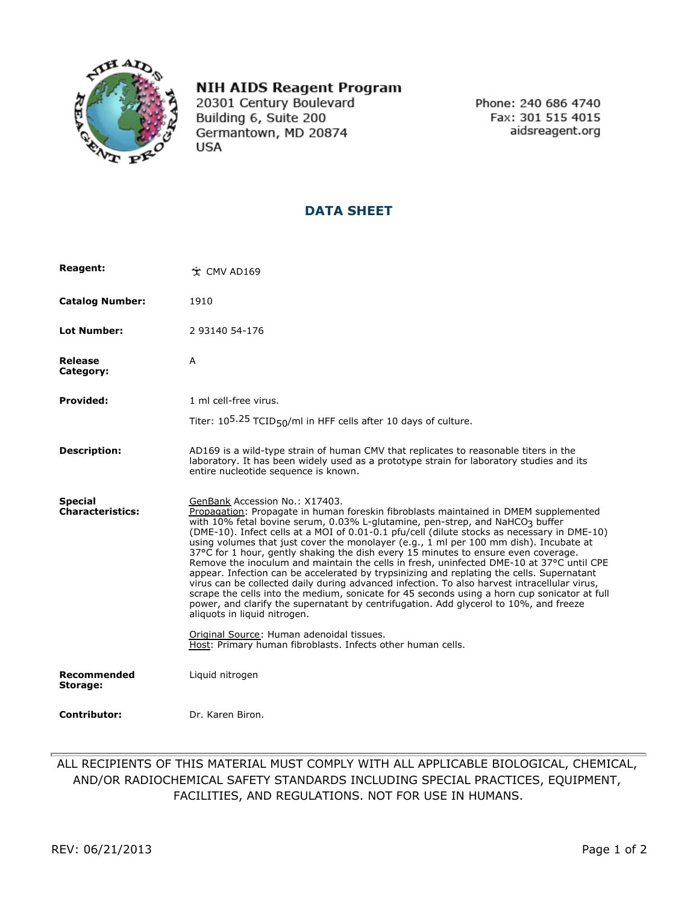

## **NIH AIDS Reagent Program**

20301 Century Boulevard Building 6, Suite 200 Germantown, MD 20874 **USA** 

Phone: 240 686 4740 Fax: 301 515 4015 aidsreagent.org

## **DATA SHEET**

| <b>Reagent:</b>                           | ☆ CMV AD169                                                                                                                                                                                                                                                                                                                                                                                                                                                                                                                                                                                                                                                                                                                                                                                                                                                                                                                                                                                                                                         |
|-------------------------------------------|-----------------------------------------------------------------------------------------------------------------------------------------------------------------------------------------------------------------------------------------------------------------------------------------------------------------------------------------------------------------------------------------------------------------------------------------------------------------------------------------------------------------------------------------------------------------------------------------------------------------------------------------------------------------------------------------------------------------------------------------------------------------------------------------------------------------------------------------------------------------------------------------------------------------------------------------------------------------------------------------------------------------------------------------------------|
| <b>Catalog Number:</b>                    | 1910                                                                                                                                                                                                                                                                                                                                                                                                                                                                                                                                                                                                                                                                                                                                                                                                                                                                                                                                                                                                                                                |
| <b>Lot Number:</b>                        | 2 93140 54-176                                                                                                                                                                                                                                                                                                                                                                                                                                                                                                                                                                                                                                                                                                                                                                                                                                                                                                                                                                                                                                      |
| Release<br>Category:                      | A                                                                                                                                                                                                                                                                                                                                                                                                                                                                                                                                                                                                                                                                                                                                                                                                                                                                                                                                                                                                                                                   |
| <b>Provided:</b>                          | 1 ml cell-free virus.                                                                                                                                                                                                                                                                                                                                                                                                                                                                                                                                                                                                                                                                                                                                                                                                                                                                                                                                                                                                                               |
|                                           | Titer: $10^{5.25}$ TCID <sub>50</sub> /ml in HFF cells after 10 days of culture.                                                                                                                                                                                                                                                                                                                                                                                                                                                                                                                                                                                                                                                                                                                                                                                                                                                                                                                                                                    |
| <b>Description:</b>                       | AD169 is a wild-type strain of human CMV that replicates to reasonable titers in the<br>laboratory. It has been widely used as a prototype strain for laboratory studies and its<br>entire nucleotide sequence is known.                                                                                                                                                                                                                                                                                                                                                                                                                                                                                                                                                                                                                                                                                                                                                                                                                            |
| <b>Special</b><br><b>Characteristics:</b> | GenBank Accession No.: X17403.<br>Propagation: Propagate in human foreskin fibroblasts maintained in DMEM supplemented<br>with 10% fetal bovine serum, 0.03% L-glutamine, pen-strep, and NaHCO3 buffer<br>(DME-10). Infect cells at a MOI of 0.01-0.1 pfu/cell (dilute stocks as necessary in DME-10)<br>using volumes that just cover the monolayer (e.g., 1 ml per 100 mm dish). Incubate at<br>37°C for 1 hour, gently shaking the dish every 15 minutes to ensure even coverage.<br>Remove the inoculum and maintain the cells in fresh, uninfected DME-10 at 37°C until CPE<br>appear. Infection can be accelerated by trypsinizing and replating the cells. Supernatant<br>virus can be collected daily during advanced infection. To also harvest intracellular virus,<br>scrape the cells into the medium, sonicate for 45 seconds using a horn cup sonicator at full<br>power, and clarify the supernatant by centrifugation. Add glycerol to 10%, and freeze<br>aliquots in liquid nitrogen.<br>Original Source: Human adenoidal tissues. |
|                                           | Host: Primary human fibroblasts. Infects other human cells.                                                                                                                                                                                                                                                                                                                                                                                                                                                                                                                                                                                                                                                                                                                                                                                                                                                                                                                                                                                         |
| Recommended<br>Storage:                   | Liquid nitrogen                                                                                                                                                                                                                                                                                                                                                                                                                                                                                                                                                                                                                                                                                                                                                                                                                                                                                                                                                                                                                                     |
| <b>Contributor:</b>                       | Dr. Karen Biron.                                                                                                                                                                                                                                                                                                                                                                                                                                                                                                                                                                                                                                                                                                                                                                                                                                                                                                                                                                                                                                    |

ALL RECIPIENTS OF THIS MATERIAL MUST COMPLY WITH ALL APPLICABLE BIOLOGICAL, CHEMICAL, AND/OR RADIOCHEMICAL SAFETY STANDARDS INCLUDING SPECIAL PRACTICES, EQUIPMENT, FACILITIES, AND REGULATIONS. NOT FOR USE IN HUMANS.